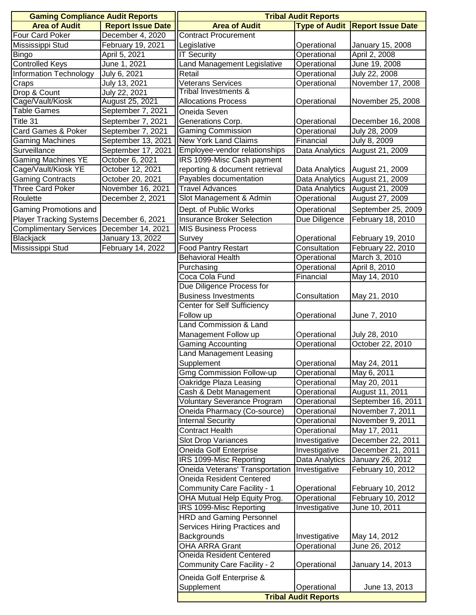| <b>Gaming Compliance Audit Reports</b>       |                                         | <b>Tribal Audit Reports</b>                             |                              |                               |
|----------------------------------------------|-----------------------------------------|---------------------------------------------------------|------------------------------|-------------------------------|
| <b>Area of Audit</b>                         | <b>Report Issue Date</b>                | <b>Area of Audit</b>                                    | <b>Type of Audit</b>         | <b>Report Issue Date</b>      |
| Four Card Poker                              | December 4, 2020                        | <b>Contract Procurement</b>                             |                              |                               |
| Mississippi Stud                             | February 19, 2021                       | Legislative                                             | Operational                  | January 15, 2008              |
| Bingo                                        | April 5, 2021                           | <b>IT Security</b>                                      | Operational                  | April 2, 2008                 |
| <b>Controlled Keys</b>                       | June 1, 2021                            | Land Management Legislative                             | Operational                  | June 19, 2008                 |
| <b>Information Technology</b>                | July 6, 2021                            | Retail                                                  | Operational                  | July 22, 2008                 |
| Craps                                        | July 13, 2021                           | Veterans Services                                       | Operational                  | November 17, 2008             |
| Drop & Count                                 | July 22, 2021                           | Tribal Investments &                                    |                              |                               |
| Cage/Vault/Kiosk                             | August 25, 2021                         | <b>Allocations Process</b>                              | Operational                  | November 25, 2008             |
| Table Games                                  | September 7, 2021                       | Oneida Seven                                            |                              |                               |
| Title 31                                     | September 7, 2021                       | Generations Corp.                                       | Operational                  | December 16, 2008             |
| Card Games & Poker<br><b>Gaming Machines</b> | September 7, 2021<br>September 13, 2021 | <b>Gaming Commission</b><br><b>New York Land Claims</b> | Operational<br>Financial     | July 28, 2009<br>July 8, 2009 |
| Surveillance                                 | September 17, 2021                      | Employee-vendor relationships                           | Data Analytics               | August 21, 2009               |
| <b>Gaming Machines YE</b>                    | October 6, 2021                         | IRS 1099-Misc Cash payment                              |                              |                               |
| Cage/Vault/Kiosk YE                          | October 12, 2021                        | reporting & document retrieval                          | Data Analytics               | August 21, 2009               |
| <b>Gaming Contracts</b>                      | October 20, 2021                        | Payables documentation                                  | Data Analytics               | August 21, 2009               |
| <b>Three Card Poker</b>                      | November 16, 2021                       | <b>Travel Advances</b>                                  | Data Analytics               | August 21, 2009               |
| Roulette                                     | December 2, 2021                        | Slot Management & Admin                                 | Operational                  | August 27, 2009               |
| Gaming Promotions and                        |                                         | Dept. of Public Works                                   | Operational                  | September 25, 2009            |
| Player Tracking Systems December 6, 2021     |                                         | Insurance Broker Selection                              | Due Diligence                | February 18, 2010             |
| <b>Complimentary Services</b>                | December 14, 2021                       | <b>MIS Business Process</b>                             |                              |                               |
| Blackjack                                    | January 13, 2022                        | Survey                                                  | Operational                  | February 19, 2010             |
| Mississippi Stud                             | February 14, 2022                       | <b>Food Pantry Restart</b>                              | Consultation                 | February 22, 2010             |
|                                              |                                         | <b>Behavioral Health</b>                                | Operational                  | March 3, 2010                 |
|                                              |                                         | Purchasing                                              | Operational                  | April 8, 2010                 |
|                                              |                                         | Coca Cola Fund                                          | Financial                    | May 14, 2010                  |
|                                              |                                         | Due Diligence Process for                               |                              |                               |
|                                              |                                         | <b>Business Investments</b>                             | Consultation                 | May 21, 2010                  |
|                                              |                                         | Center for Self Sufficiency                             |                              |                               |
|                                              |                                         | Follow up                                               | Operational                  | June 7, 2010                  |
|                                              |                                         | Land Commission & Land                                  |                              |                               |
|                                              |                                         | Management Follow up                                    | Operational                  | July 28, 2010                 |
|                                              |                                         | <b>Gaming Accounting</b><br>and Management Leasing      | Operational                  | October 22, 2010              |
|                                              |                                         | Supplement                                              | Operational                  | May 24, 2011                  |
|                                              |                                         | <b>Gmg Commission Follow-up</b>                         | Operational                  | May 6, 2011                   |
|                                              |                                         | Oakridge Plaza Leasing                                  | Operational                  | May 20, 2011                  |
|                                              |                                         | Cash & Debt Management                                  | Operational                  | August 11, 2011               |
|                                              |                                         | <b>Voluntary Severance Program</b>                      | Operational                  | September 16, 2011            |
|                                              |                                         | Oneida Pharmacy (Co-source)                             | Operational                  | November 7, 2011              |
|                                              |                                         | <b>Internal Security</b>                                | Operational                  | November 9, 2011              |
|                                              |                                         | <b>Contract Health</b>                                  | Operational                  | May 17, 2011                  |
|                                              |                                         | <b>Slot Drop Variances</b>                              | Investigative                | December 22, 2011             |
|                                              |                                         | Oneida Golf Enterprise                                  | Investigative                | December 21, 2011             |
|                                              |                                         | IRS 1099-Misc Reporting                                 | Data Analytics               | January 26, 2012              |
|                                              |                                         | Oneida Veterans' Transportation                         | Investigative                | February 10, 2012             |
|                                              |                                         | <b>Oneida Resident Centered</b>                         |                              |                               |
|                                              |                                         | Community Care Facility - 1                             | Operational                  | February 10, 2012             |
|                                              |                                         | OHA Mutual Help Equity Prog.                            | Operational                  | February 10, 2012             |
|                                              |                                         | IRS 1099-Misc Reporting                                 | Investigative                | June 10, 2011                 |
|                                              |                                         | <b>HRD and Gaming Personnel</b>                         |                              |                               |
|                                              |                                         | Services Hiring Practices and<br>Backgrounds            |                              |                               |
|                                              |                                         | <b>OHA ARRA Grant</b>                                   | Investigative<br>Operational | May 14, 2012<br>June 26, 2012 |
|                                              |                                         | <b>Oneida Resident Centered</b>                         |                              |                               |
|                                              |                                         | Community Care Facility - 2                             | Operational                  | January 14, 2013              |
|                                              |                                         |                                                         |                              |                               |
|                                              |                                         | Oneida Golf Enterprise &<br>Supplement                  | Operational                  | June 13, 2013                 |
|                                              |                                         |                                                         |                              |                               |
|                                              |                                         | <b>Tribal Audit Reports</b>                             |                              |                               |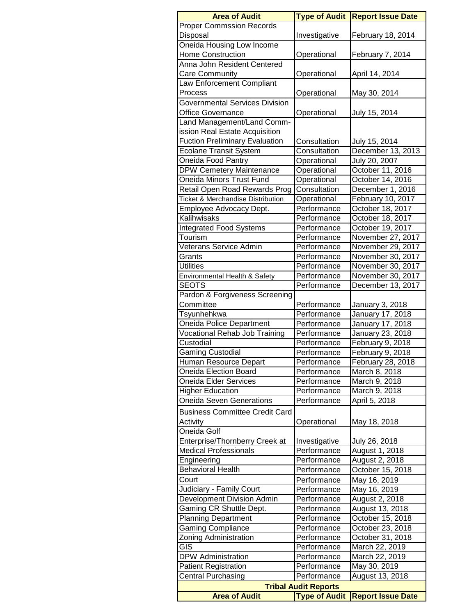| <b>Area of Audit</b>                                                     | <b>Type of Audit</b>       | <b>Report Issue Date</b> |  |  |  |
|--------------------------------------------------------------------------|----------------------------|--------------------------|--|--|--|
| <b>Proper Commssion Records</b>                                          |                            |                          |  |  |  |
| Disposal                                                                 | Investigative              | February 18, 2014        |  |  |  |
| Oneida Housing Low Income                                                |                            |                          |  |  |  |
| <b>Home Construction</b>                                                 | Operational                | February 7, 2014         |  |  |  |
| Anna John Resident Centered                                              |                            |                          |  |  |  |
| Care Community                                                           | Operational                | April 14, 2014           |  |  |  |
| Law Enforcement Compliant                                                |                            |                          |  |  |  |
| Process                                                                  | Operational                | May 30, 2014             |  |  |  |
| <b>Governmental Services Division</b>                                    |                            |                          |  |  |  |
| <b>Office Governance</b>                                                 | Operational                | July 15, 2014            |  |  |  |
| Land Management/Land Comm-                                               |                            |                          |  |  |  |
| ission Real Estate Acquisition                                           |                            |                          |  |  |  |
| <b>Fuction Preliminary Evaluation</b>                                    | Consultation               | July 15, 2014            |  |  |  |
| Ecolane Transit System                                                   | Consultation               | December 13, 2013        |  |  |  |
| Oneida Food Pantry                                                       | Operational                | July 20, 2007            |  |  |  |
| <b>DPW Cemetery Maintenance</b>                                          | Operational                | October 11, 2016         |  |  |  |
| <b>Oneida Minors Trust Fund</b>                                          | Operational                | October 14, 2016         |  |  |  |
| Retail Open Road Rewards Prog                                            | Consultation               | December 1, 2016         |  |  |  |
| <b>Ticket &amp; Merchandise Distribution</b>                             | Operational                | February 10, 2017        |  |  |  |
| Employee Advocacy Dept.                                                  | Performance                | October 18, 2017         |  |  |  |
| Kalihwisaks                                                              | Performance                | October 18, 2017         |  |  |  |
| <b>Integrated Food Systems</b>                                           | Performance                | October 19, 2017         |  |  |  |
| Tourism                                                                  | Performance                | November 27, 2017        |  |  |  |
| Veterans Service Admin                                                   | Performance                | November 29, 2017        |  |  |  |
| Grants                                                                   | Performance                | November 30, 2017        |  |  |  |
| <b>Utilities</b>                                                         | Performance                | November 30, 2017        |  |  |  |
| Environmental Health & Safety                                            | Performance                | November 30, 2017        |  |  |  |
| <b>SEOTS</b>                                                             | Performance                | December 13, 2017        |  |  |  |
| Pardon & Forgiveness Screening                                           |                            |                          |  |  |  |
| Committee                                                                | Performance                | January 3, 2018          |  |  |  |
| Tsyunhehkwa                                                              | Performance                | January 17, 2018         |  |  |  |
| <b>Oneida Police Department</b>                                          | Performance                | January 17, 2018         |  |  |  |
| <b>Vocational Rehab Job Training</b>                                     | Performance                | January 23, 2018         |  |  |  |
| Custodial                                                                | Performance                | February 9, 2018         |  |  |  |
| <b>Gaming Custodial</b>                                                  | Performance                | February 9, 2018         |  |  |  |
|                                                                          |                            | February 28, 2018        |  |  |  |
| Human Resource Depart<br>Oneida Election Board                           | Performance<br>Performance | March 8, 2018            |  |  |  |
|                                                                          |                            |                          |  |  |  |
| Oneida Elder Services                                                    | Performance                | March 9, 2018            |  |  |  |
| <b>Higher Education</b>                                                  | Performance                | March 9, 2018            |  |  |  |
| <b>Oneida Seven Generations</b>                                          | Performance                | April 5, 2018            |  |  |  |
| <b>Business Committee Credit Card</b>                                    |                            |                          |  |  |  |
| Activity                                                                 | Operational                | May 18, 2018             |  |  |  |
| Oneida Golf                                                              |                            |                          |  |  |  |
| Enterprise/Thornberry Creek at                                           | Investigative              | July 26, 2018            |  |  |  |
| <b>Medical Professionals</b>                                             | Performance                | August 1, 2018           |  |  |  |
| Engineering                                                              | Performance                | August 2, 2018           |  |  |  |
| <b>Behavioral Health</b>                                                 | Performance                | October 15, 2018         |  |  |  |
| Court                                                                    | Performance                | May 16, 2019             |  |  |  |
| Judiciary - Family Court                                                 | Performance                | May 16, 2019             |  |  |  |
| Development Division Admin                                               | Performance                | August 2, 2018           |  |  |  |
| Gaming CR Shuttle Dept.                                                  | Performance                | August 13, 2018          |  |  |  |
| Planning Department                                                      | Performance                | October 15, 2018         |  |  |  |
| <b>Gaming Compliance</b>                                                 | Performance                | October 23, 2018         |  |  |  |
| Zoning Administration                                                    | Performance                | October 31, 2018         |  |  |  |
| GIS                                                                      | Performance                | March 22, 2019           |  |  |  |
| <b>DPW Administration</b>                                                | Performance                | March 22, 2019           |  |  |  |
| <b>Patient Registration</b>                                              | Performance                | May 30, 2019             |  |  |  |
| <b>Central Purchasing</b>                                                | Performance                | August 13, 2018          |  |  |  |
| <b>Tribal Audit Reports</b>                                              |                            |                          |  |  |  |
| <b>Area of Audit</b><br><b>Type of Audit</b><br><b>Report Issue Date</b> |                            |                          |  |  |  |
|                                                                          |                            |                          |  |  |  |